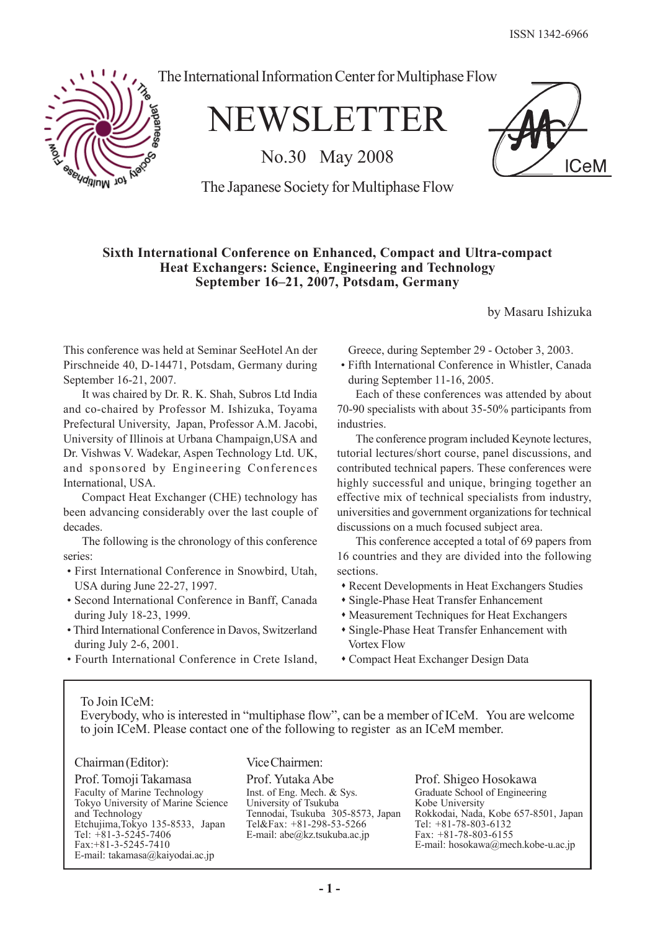**ICeM** 



The International Information Center for Multiphase Flow

NEWSLETTER

No.30 May 2008

The Japanese Society for Multiphase Flow

# **Sixth International Conference on Enhanced, Compact and Ultra-compact Heat Exchangers: Science, Engineering and Technology September 16–21, 2007, Potsdam, Germany**

by Masaru Ishizuka

This conference was held at Seminar SeeHotel An der Pirschneide 40, D-14471, Potsdam, Germany during September 16-21, 2007.

It was chaired by Dr. R. K. Shah, Subros Ltd India and co-chaired by Professor M. Ishizuka, Toyama Prefectural University, Japan, Professor A.M. Jacobi, University of Illinois at Urbana Champaign,USA and Dr. Vishwas V. Wadekar, Aspen Technology Ltd. UK, and sponsored by Engineering Conferences International, USA.

Compact Heat Exchanger (CHE) technology has been advancing considerably over the last couple of decades.

The following is the chronology of this conference series:

- First International Conference in Snowbird, Utah, USA during June 22-27, 1997.
- Second International Conference in Banff, Canada during July 18-23, 1999.
- Third International Conference in Davos, Switzerland during July 2-6, 2001.
- Fourth International Conference in Crete Island,

Greece, during September 29 - October 3, 2003.

• Fifth International Conference in Whistler, Canada during September 11-16, 2005.

Each of these conferences was attended by about 70-90 specialists with about 35-50% participants from industries.

The conference program included Keynote lectures, tutorial lectures/short course, panel discussions, and contributed technical papers. These conferences were highly successful and unique, bringing together an effective mix of technical specialists from industry, universities and government organizations for technical discussions on a much focused subject area.

This conference accepted a total of 69 papers from 16 countries and they are divided into the following sections.

- Recent Developments in Heat Exchangers Studies
- Single-Phase Heat Transfer Enhancement
- Measurement Techniques for Heat Exchangers
- Single-Phase Heat Transfer Enhancement with Vortex Flow
- Compact Heat Exchanger Design Data

## To Join ICeM:

Everybody, who is interested in "multiphase flow", can be a member of ICeM. You are welcome to join ICeM. Please contact one of the following to register as an ICeM member.

#### Chairman (Editor):

Prof. Tomoji Takamasa Faculty of Marine Technology Tokyo University of Marine Science and Technology Etchujima,Tokyo 135-8533, Japan Tel: +81-3-5245-7406 Fax:+81-3-5245-7410 E-mail: takamasa@kaiyodai.ac.jp

Vice Chairmen:

Prof. Yutaka Abe Inst. of Eng. Mech. & Sys. University of Tsukuba Tennodai, Tsukuba 305-8573, Japan Tel&Fax: +81-298-53-5266 E-mail: abe@kz.tsukuba.ac.jp

Prof. Shigeo Hosokawa Graduate School of Engineering Kobe University Rokkodai, Nada, Kobe 657-8501, Japan Tel: +81-78-803-6132 Fax: +81-78-803-6155 E-mail: hosokawa@mech.kobe-u.ac.jp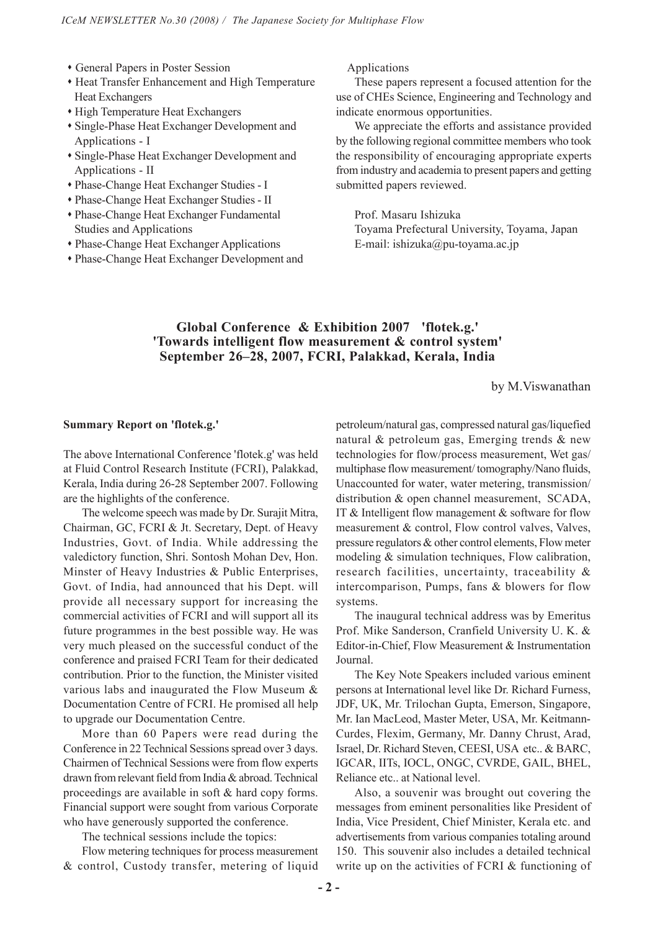- General Papers in Poster Session
- Heat Transfer Enhancement and High Temperature Heat Exchangers
- High Temperature Heat Exchangers
- Single-Phase Heat Exchanger Development and Applications - I
- Single-Phase Heat Exchanger Development and Applications - II
- Phase-Change Heat Exchanger Studies I
- Phase-Change Heat Exchanger Studies II
- Phase-Change Heat Exchanger Fundamental Studies and Applications
- Phase-Change Heat Exchanger Applications
- Phase-Change Heat Exchanger Development and

Applications

These papers represent a focused attention for the use of CHEs Science, Engineering and Technology and indicate enormous opportunities.

We appreciate the efforts and assistance provided by the following regional committee members who took the responsibility of encouraging appropriate experts from industry and academia to present papers and getting submitted papers reviewed.

Prof. Masaru Ishizuka Toyama Prefectural University, Toyama, Japan E-mail: ishizuka@pu-toyama.ac.jp

# **Global Conference & Exhibition 2007 'flotek.g.' 'Towards intelligent flow measurement & control system' September 26–28, 2007, FCRI, Palakkad, Kerala, India**

by M.Viswanathan

#### **Summary Report on 'flotek.g.'**

The above International Conference 'flotek.g' was held at Fluid Control Research Institute (FCRI), Palakkad, Kerala, India during 26-28 September 2007. Following are the highlights of the conference.

The welcome speech was made by Dr. Surajit Mitra, Chairman, GC, FCRI & Jt. Secretary, Dept. of Heavy Industries, Govt. of India. While addressing the valedictory function, Shri. Sontosh Mohan Dev, Hon. Minster of Heavy Industries & Public Enterprises, Govt. of India, had announced that his Dept. will provide all necessary support for increasing the commercial activities of FCRI and will support all its future programmes in the best possible way. He was very much pleased on the successful conduct of the conference and praised FCRI Team for their dedicated contribution. Prior to the function, the Minister visited various labs and inaugurated the Flow Museum & Documentation Centre of FCRI. He promised all help to upgrade our Documentation Centre.

More than 60 Papers were read during the Conference in 22 Technical Sessions spread over 3 days. Chairmen of Technical Sessions were from flow experts drawn from relevant field from India & abroad. Technical proceedings are available in soft & hard copy forms. Financial support were sought from various Corporate who have generously supported the conference.

The technical sessions include the topics:

Flow metering techniques for process measurement & control, Custody transfer, metering of liquid petroleum/natural gas, compressed natural gas/liquefied natural & petroleum gas, Emerging trends & new technologies for flow/process measurement, Wet gas/ multiphase flow measurement/ tomography/Nano fluids, Unaccounted for water, water metering, transmission/ distribution & open channel measurement, SCADA, IT  $&$  Intelligent flow management  $&$  software for flow measurement & control, Flow control valves, Valves, pressure regulators & other control elements, Flow meter modeling & simulation techniques, Flow calibration, research facilities, uncertainty, traceability & intercomparison, Pumps, fans & blowers for flow systems.

The inaugural technical address was by Emeritus Prof. Mike Sanderson, Cranfield University U. K. & Editor-in-Chief, Flow Measurement & Instrumentation Journal.

The Key Note Speakers included various eminent persons at International level like Dr. Richard Furness, JDF, UK, Mr. Trilochan Gupta, Emerson, Singapore, Mr. Ian MacLeod, Master Meter, USA, Mr. Keitmann-Curdes, Flexim, Germany, Mr. Danny Chrust, Arad, Israel, Dr. Richard Steven, CEESI, USA etc.. & BARC, IGCAR, IITs, IOCL, ONGC, CVRDE, GAIL, BHEL, Reliance etc.. at National level.

Also, a souvenir was brought out covering the messages from eminent personalities like President of India, Vice President, Chief Minister, Kerala etc. and advertisements from various companies totaling around 150. This souvenir also includes a detailed technical write up on the activities of FCRI & functioning of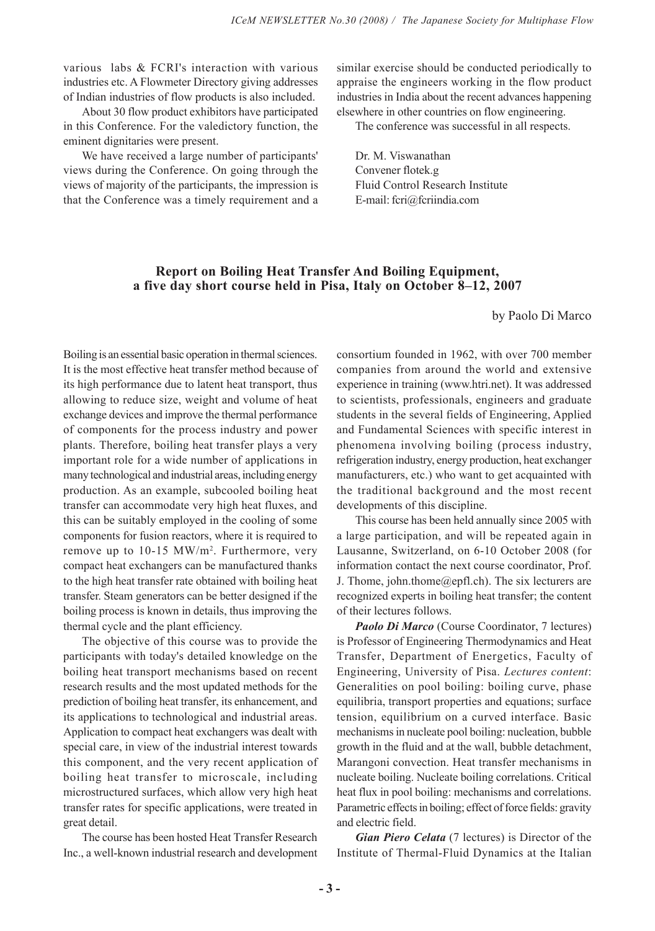various labs & FCRI's interaction with various industries etc. A Flowmeter Directory giving addresses of Indian industries of flow products is also included.

About 30 flow product exhibitors have participated in this Conference. For the valedictory function, the eminent dignitaries were present.

We have received a large number of participants' views during the Conference. On going through the views of majority of the participants, the impression is that the Conference was a timely requirement and a similar exercise should be conducted periodically to appraise the engineers working in the flow product industries in India about the recent advances happening elsewhere in other countries on flow engineering.

The conference was successful in all respects.

Dr. M. Viswanathan Convener flotek.g Fluid Control Research Institute E-mail: fcri@fcriindia.com

# **Report on Boiling Heat Transfer And Boiling Equipment, a five day short course held in Pisa, Italy on October 8–12, 2007**

by Paolo Di Marco

Boiling is an essential basic operation in thermal sciences. It is the most effective heat transfer method because of its high performance due to latent heat transport, thus allowing to reduce size, weight and volume of heat exchange devices and improve the thermal performance of components for the process industry and power plants. Therefore, boiling heat transfer plays a very important role for a wide number of applications in many technological and industrial areas, including energy production. As an example, subcooled boiling heat transfer can accommodate very high heat fluxes, and this can be suitably employed in the cooling of some components for fusion reactors, where it is required to remove up to 10-15 MW/m<sup>2</sup>. Furthermore, very compact heat exchangers can be manufactured thanks to the high heat transfer rate obtained with boiling heat transfer. Steam generators can be better designed if the boiling process is known in details, thus improving the thermal cycle and the plant efficiency.

The objective of this course was to provide the participants with today's detailed knowledge on the boiling heat transport mechanisms based on recent research results and the most updated methods for the prediction of boiling heat transfer, its enhancement, and its applications to technological and industrial areas. Application to compact heat exchangers was dealt with special care, in view of the industrial interest towards this component, and the very recent application of boiling heat transfer to microscale, including microstructured surfaces, which allow very high heat transfer rates for specific applications, were treated in great detail.

The course has been hosted Heat Transfer Research Inc., a well-known industrial research and development consortium founded in 1962, with over 700 member companies from around the world and extensive experience in training (www.htri.net). It was addressed to scientists, professionals, engineers and graduate students in the several fields of Engineering, Applied and Fundamental Sciences with specific interest in phenomena involving boiling (process industry, refrigeration industry, energy production, heat exchanger manufacturers, etc.) who want to get acquainted with the traditional background and the most recent developments of this discipline.

This course has been held annually since 2005 with a large participation, and will be repeated again in Lausanne, Switzerland, on 6-10 October 2008 (for information contact the next course coordinator, Prof. J. Thome, john.thome@epfl.ch). The six lecturers are recognized experts in boiling heat transfer; the content of their lectures follows.

*Paolo Di Marco* (Course Coordinator, 7 lectures) is Professor of Engineering Thermodynamics and Heat Transfer, Department of Energetics, Faculty of Engineering, University of Pisa. *Lectures content*: Generalities on pool boiling: boiling curve, phase equilibria, transport properties and equations; surface tension, equilibrium on a curved interface. Basic mechanisms in nucleate pool boiling: nucleation, bubble growth in the fluid and at the wall, bubble detachment, Marangoni convection. Heat transfer mechanisms in nucleate boiling. Nucleate boiling correlations. Critical heat flux in pool boiling: mechanisms and correlations. Parametric effects in boiling; effect of force fields: gravity and electric field.

*Gian Piero Celata* (7 lectures) is Director of the Institute of Thermal-Fluid Dynamics at the Italian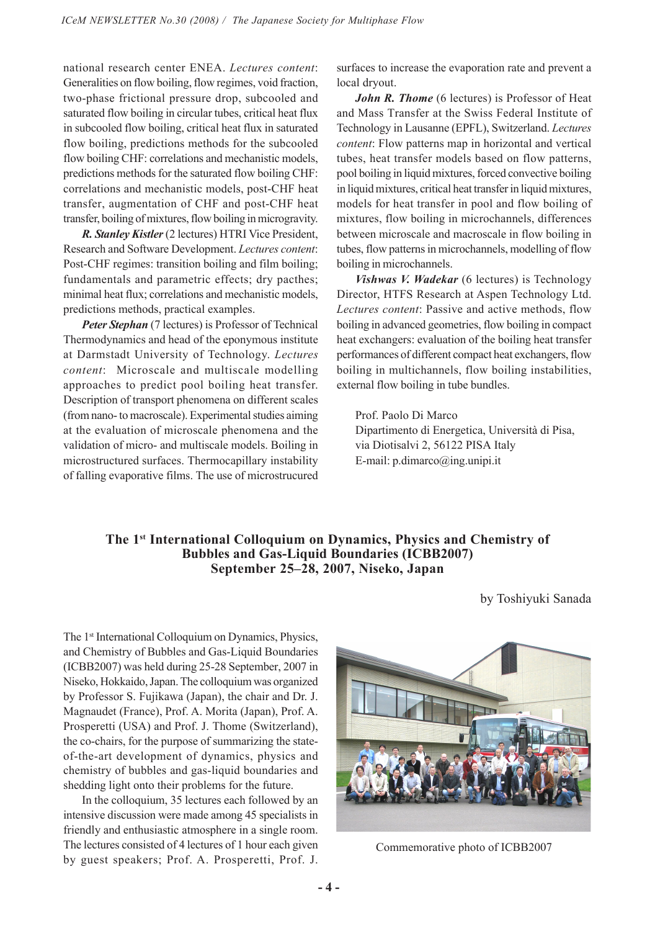national research center ENEA. *Lectures content*: Generalities on flow boiling, flow regimes, void fraction, two-phase frictional pressure drop, subcooled and saturated flow boiling in circular tubes, critical heat flux in subcooled flow boiling, critical heat flux in saturated flow boiling, predictions methods for the subcooled flow boiling CHF: correlations and mechanistic models, predictions methods for the saturated flow boiling CHF: correlations and mechanistic models, post-CHF heat transfer, augmentation of CHF and post-CHF heat transfer, boiling of mixtures, flow boiling in microgravity.

*R. Stanley Kistler* (2 lectures) HTRI Vice President, Research and Software Development. *Lectures content*: Post-CHF regimes: transition boiling and film boiling; fundamentals and parametric effects; dry pacthes; minimal heat flux; correlations and mechanistic models, predictions methods, practical examples.

*Peter Stephan* (7 lectures) is Professor of Technical Thermodynamics and head of the eponymous institute at Darmstadt University of Technology. *Lectures content*: Microscale and multiscale modelling approaches to predict pool boiling heat transfer. Description of transport phenomena on different scales (from nano- to macroscale). Experimental studies aiming at the evaluation of microscale phenomena and the validation of micro- and multiscale models. Boiling in microstructured surfaces. Thermocapillary instability of falling evaporative films. The use of microstrucured surfaces to increase the evaporation rate and prevent a local dryout.

*John R. Thome* (6 lectures) is Professor of Heat and Mass Transfer at the Swiss Federal Institute of Technology in Lausanne (EPFL), Switzerland. *Lectures content*: Flow patterns map in horizontal and vertical tubes, heat transfer models based on flow patterns, pool boiling in liquid mixtures, forced convective boiling in liquid mixtures, critical heat transfer in liquid mixtures, models for heat transfer in pool and flow boiling of mixtures, flow boiling in microchannels, differences between microscale and macroscale in flow boiling in tubes, flow patterns in microchannels, modelling of flow boiling in microchannels.

*Vishwas V. Wadekar* (6 lectures) is Technology Director, HTFS Research at Aspen Technology Ltd. *Lectures content*: Passive and active methods, flow boiling in advanced geometries, flow boiling in compact heat exchangers: evaluation of the boiling heat transfer performances of different compact heat exchangers, flow boiling in multichannels, flow boiling instabilities, external flow boiling in tube bundles.

Prof. Paolo Di Marco Dipartimento di Energetica, Università di Pisa, via Diotisalvi 2, 56122 PISA Italy E-mail: p.dimarco@ing.unipi.it

# **The 1st International Colloquium on Dynamics, Physics and Chemistry of Bubbles and Gas-Liquid Boundaries (ICBB2007) September 25–28, 2007, Niseko, Japan**

by Toshiyuki Sanada

The 1<sup>st</sup> International Colloquium on Dynamics, Physics, and Chemistry of Bubbles and Gas-Liquid Boundaries (ICBB2007) was held during 25-28 September, 2007 in Niseko, Hokkaido, Japan. The colloquium was organized by Professor S. Fujikawa (Japan), the chair and Dr. J. Magnaudet (France), Prof. A. Morita (Japan), Prof. A. Prosperetti (USA) and Prof. J. Thome (Switzerland), the co-chairs, for the purpose of summarizing the stateof-the-art development of dynamics, physics and chemistry of bubbles and gas-liquid boundaries and shedding light onto their problems for the future.

In the colloquium, 35 lectures each followed by an intensive discussion were made among 45 specialists in friendly and enthusiastic atmosphere in a single room. The lectures consisted of 4 lectures of 1 hour each given by guest speakers; Prof. A. Prosperetti, Prof. J.



Commemorative photo of ICBB2007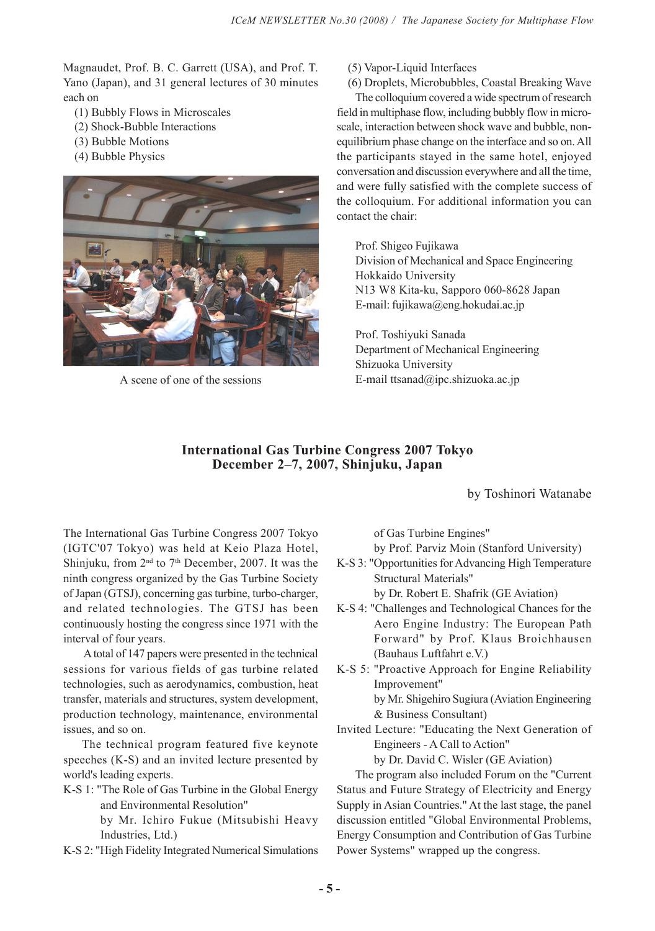Magnaudet, Prof. B. C. Garrett (USA), and Prof. T. Yano (Japan), and 31 general lectures of 30 minutes each on

- (1) Bubbly Flows in Microscales
- (2) Shock-Bubble Interactions
- (3) Bubble Motions
- (4) Bubble Physics



(5) Vapor-Liquid Interfaces

(6) Droplets, Microbubbles, Coastal Breaking Wave

The colloquium covered a wide spectrum of research field in multiphase flow, including bubbly flow in microscale, interaction between shock wave and bubble, nonequilibrium phase change on the interface and so on. All the participants stayed in the same hotel, enjoyed conversation and discussion everywhere and all the time, and were fully satisfied with the complete success of the colloquium. For additional information you can contact the chair:

Prof. Shigeo Fujikawa Division of Mechanical and Space Engineering Hokkaido University N13 W8 Kita-ku, Sapporo 060-8628 Japan E-mail: fujikawa@eng.hokudai.ac.jp

Prof. Toshiyuki Sanada Department of Mechanical Engineering Shizuoka University A scene of one of the sessions  $E$ -mail ttsanad@ipc.shizuoka.ac.jp

# **International Gas Turbine Congress 2007 Tokyo December 2–7, 2007, Shinjuku, Japan**

by Toshinori Watanabe

The International Gas Turbine Congress 2007 Tokyo (IGTC'07 Tokyo) was held at Keio Plaza Hotel, Shinjuku, from  $2<sup>nd</sup>$  to  $7<sup>th</sup>$  December, 2007. It was the ninth congress organized by the Gas Turbine Society of Japan (GTSJ), concerning gas turbine, turbo-charger, and related technologies. The GTSJ has been continuously hosting the congress since 1971 with the interval of four years.

 A total of 147 papers were presented in the technical sessions for various fields of gas turbine related technologies, such as aerodynamics, combustion, heat transfer, materials and structures, system development, production technology, maintenance, environmental issues, and so on.

The technical program featured five keynote speeches (K-S) and an invited lecture presented by world's leading experts.

K-S 1: "The Role of Gas Turbine in the Global Energy and Environmental Resolution"

by Mr. Ichiro Fukue (Mitsubishi Heavy Industries, Ltd.)

K-S 2: "High Fidelity Integrated Numerical Simulations

of Gas Turbine Engines"

by Prof. Parviz Moin (Stanford University)

K-S 3: "Opportunities for Advancing High Temperature Structural Materials"

by Dr. Robert E. Shafrik (GE Aviation)

- K-S 4: "Challenges and Technological Chances for the Aero Engine Industry: The European Path Forward" by Prof. Klaus Broichhausen (Bauhaus Luftfahrt e.V.)
- K-S 5: "Proactive Approach for Engine Reliability Improvement" by Mr. Shigehiro Sugiura (Aviation Engineering & Business Consultant)
- Invited Lecture: "Educating the Next Generation of Engineers - A Call to Action"

by Dr. David C. Wisler (GE Aviation)

The program also included Forum on the "Current Status and Future Strategy of Electricity and Energy Supply in Asian Countries." At the last stage, the panel discussion entitled "Global Environmental Problems, Energy Consumption and Contribution of Gas Turbine Power Systems" wrapped up the congress.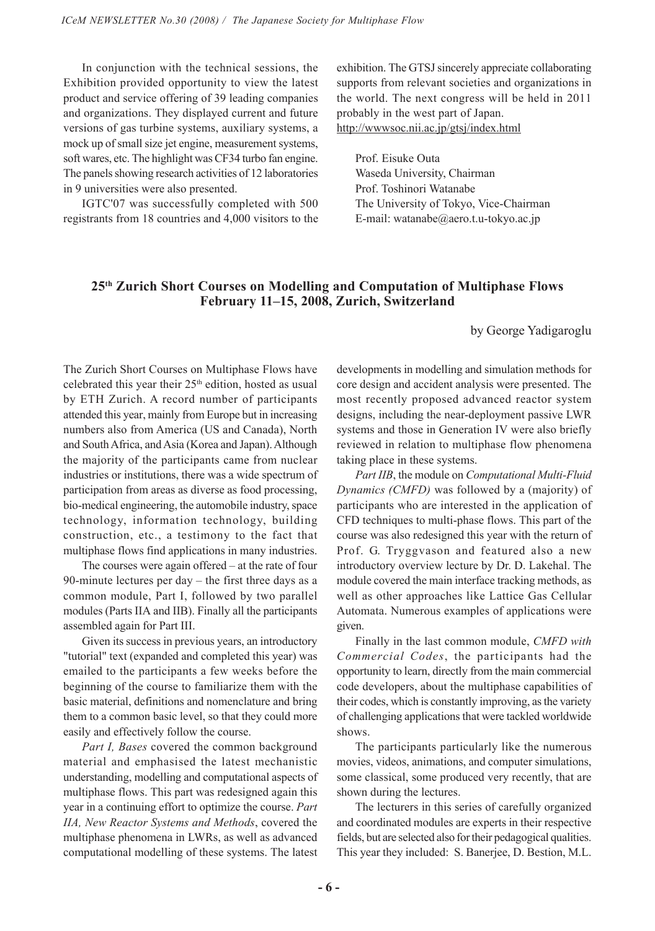In conjunction with the technical sessions, the Exhibition provided opportunity to view the latest product and service offering of 39 leading companies and organizations. They displayed current and future versions of gas turbine systems, auxiliary systems, a mock up of small size jet engine, measurement systems, soft wares, etc. The highlight was CF34 turbo fan engine. The panels showing research activities of 12 laboratories in 9 universities were also presented.

IGTC'07 was successfully completed with 500 registrants from 18 countries and 4,000 visitors to the exhibition. The GTSJ sincerely appreciate collaborating supports from relevant societies and organizations in the world. The next congress will be held in 2011 probably in the west part of Japan. http://wwwsoc.nii.ac.jp/gtsj/index.html

Prof. Eisuke Outa Waseda University, Chairman Prof. Toshinori Watanabe The University of Tokyo, Vice-Chairman E-mail: watanabe@aero.t.u-tokyo.ac.jp

# **25th Zurich Short Courses on Modelling and Computation of Multiphase Flows February 11–15, 2008, Zurich, Switzerland**

by George Yadigaroglu

The Zurich Short Courses on Multiphase Flows have celebrated this year their  $25<sup>th</sup>$  edition, hosted as usual by ETH Zurich. A record number of participants attended this year, mainly from Europe but in increasing numbers also from America (US and Canada), North and South Africa, and Asia (Korea and Japan). Although the majority of the participants came from nuclear industries or institutions, there was a wide spectrum of participation from areas as diverse as food processing, bio-medical engineering, the automobile industry, space technology, information technology, building construction, etc., a testimony to the fact that multiphase flows find applications in many industries.

The courses were again offered – at the rate of four 90-minute lectures per day – the first three days as a common module, Part I, followed by two parallel modules (Parts IIA and IIB). Finally all the participants assembled again for Part III.

Given its success in previous years, an introductory "tutorial" text (expanded and completed this year) was emailed to the participants a few weeks before the beginning of the course to familiarize them with the basic material, definitions and nomenclature and bring them to a common basic level, so that they could more easily and effectively follow the course.

*Part I, Bases* covered the common background material and emphasised the latest mechanistic understanding, modelling and computational aspects of multiphase flows. This part was redesigned again this year in a continuing effort to optimize the course. *Part IIA, New Reactor Systems and Methods*, covered the multiphase phenomena in LWRs, as well as advanced computational modelling of these systems. The latest

developments in modelling and simulation methods for core design and accident analysis were presented. The most recently proposed advanced reactor system designs, including the near-deployment passive LWR systems and those in Generation IV were also briefly reviewed in relation to multiphase flow phenomena taking place in these systems.

*Part IIB*, the module on *Computational Multi-Fluid Dynamics (CMFD)* was followed by a (majority) of participants who are interested in the application of CFD techniques to multi-phase flows. This part of the course was also redesigned this year with the return of Prof. G. Tryggvason and featured also a new introductory overview lecture by Dr. D. Lakehal. The module covered the main interface tracking methods, as well as other approaches like Lattice Gas Cellular Automata. Numerous examples of applications were given.

Finally in the last common module, *CMFD with Commercial Codes*, the participants had the opportunity to learn, directly from the main commercial code developers, about the multiphase capabilities of their codes, which is constantly improving, as the variety of challenging applications that were tackled worldwide shows.

The participants particularly like the numerous movies, videos, animations, and computer simulations, some classical, some produced very recently, that are shown during the lectures.

The lecturers in this series of carefully organized and coordinated modules are experts in their respective fields, but are selected also for their pedagogical qualities. This year they included: S. Banerjee, D. Bestion, M.L.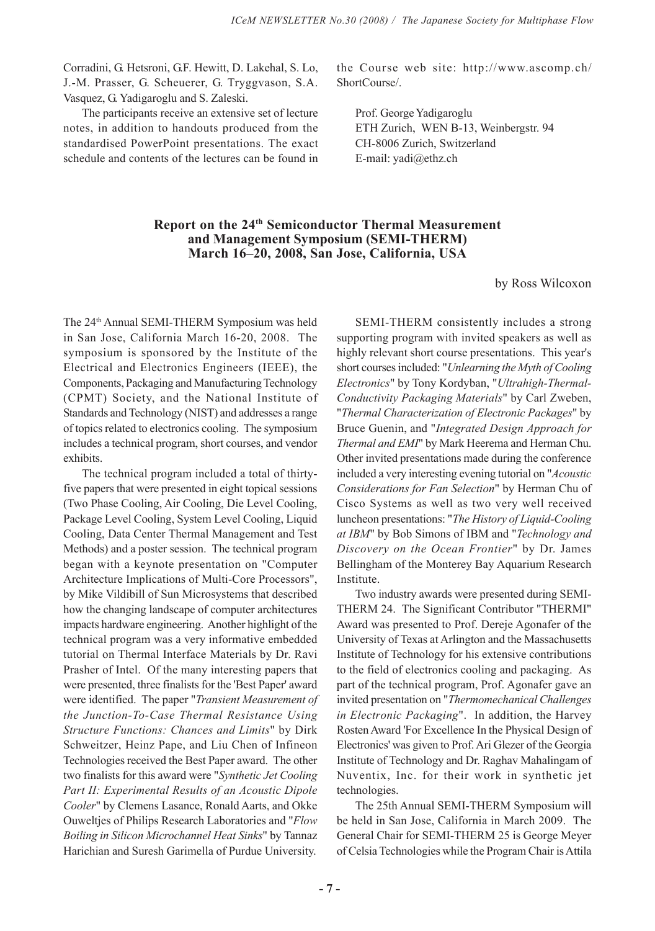Corradini, G. Hetsroni, G.F. Hewitt, D. Lakehal, S. Lo, J.-M. Prasser, G. Scheuerer, G. Tryggvason, S.A. Vasquez, G. Yadigaroglu and S. Zaleski.

The participants receive an extensive set of lecture notes, in addition to handouts produced from the standardised PowerPoint presentations. The exact schedule and contents of the lectures can be found in

the Course web site: http://www.ascomp.ch/ ShortCourse/.

Prof. George Yadigaroglu ETH Zurich, WEN B-13, Weinbergstr. 94 CH-8006 Zurich, Switzerland E-mail: yadi@ethz.ch

# **Report on the 24th Semiconductor Thermal Measurement and Management Symposium (SEMI-THERM) March 16–20, 2008, San Jose, California, USA**

by Ross Wilcoxon

The 24th Annual SEMI-THERM Symposium was held in San Jose, California March 16-20, 2008. The symposium is sponsored by the Institute of the Electrical and Electronics Engineers (IEEE), the Components, Packaging and Manufacturing Technology (CPMT) Society, and the National Institute of Standards and Technology (NIST) and addresses a range of topics related to electronics cooling. The symposium includes a technical program, short courses, and vendor exhibits.

The technical program included a total of thirtyfive papers that were presented in eight topical sessions (Two Phase Cooling, Air Cooling, Die Level Cooling, Package Level Cooling, System Level Cooling, Liquid Cooling, Data Center Thermal Management and Test Methods) and a poster session. The technical program began with a keynote presentation on "Computer Architecture Implications of Multi-Core Processors", by Mike Vildibill of Sun Microsystems that described how the changing landscape of computer architectures impacts hardware engineering. Another highlight of the technical program was a very informative embedded tutorial on Thermal Interface Materials by Dr. Ravi Prasher of Intel. Of the many interesting papers that were presented, three finalists for the 'Best Paper' award were identified. The paper "*Transient Measurement of the Junction-To-Case Thermal Resistance Using Structure Functions: Chances and Limits*" by Dirk Schweitzer, Heinz Pape, and Liu Chen of Infineon Technologies received the Best Paper award. The other two finalists for this award were "*Synthetic Jet Cooling Part II: Experimental Results of an Acoustic Dipole Cooler*" by Clemens Lasance, Ronald Aarts, and Okke Ouweltjes of Philips Research Laboratories and "*Flow Boiling in Silicon Microchannel Heat Sinks*" by Tannaz Harichian and Suresh Garimella of Purdue University.

SEMI-THERM consistently includes a strong supporting program with invited speakers as well as highly relevant short course presentations. This year's short courses included: "*Unlearning the Myth of Cooling Electronics*" by Tony Kordyban, "*Ultrahigh-Thermal-Conductivity Packaging Materials*" by Carl Zweben, "*Thermal Characterization of Electronic Packages*" by Bruce Guenin, and "*Integrated Design Approach for Thermal and EMI*" by Mark Heerema and Herman Chu. Other invited presentations made during the conference included a very interesting evening tutorial on "*Acoustic Considerations for Fan Selection*" by Herman Chu of Cisco Systems as well as two very well received luncheon presentations: "*The History of Liquid-Cooling at IBM*" by Bob Simons of IBM and "*Technology and Discovery on the Ocean Frontier*" by Dr. James Bellingham of the Monterey Bay Aquarium Research Institute.

Two industry awards were presented during SEMI-THERM 24. The Significant Contributor "THERMI" Award was presented to Prof. Dereje Agonafer of the University of Texas at Arlington and the Massachusetts Institute of Technology for his extensive contributions to the field of electronics cooling and packaging. As part of the technical program, Prof. Agonafer gave an invited presentation on "*Thermomechanical Challenges in Electronic Packaging*". In addition, the Harvey Rosten Award 'For Excellence In the Physical Design of Electronics' was given to Prof. Ari Glezer of the Georgia Institute of Technology and Dr. Raghav Mahalingam of Nuventix, Inc. for their work in synthetic jet technologies.

The 25th Annual SEMI-THERM Symposium will be held in San Jose, California in March 2009. The General Chair for SEMI-THERM 25 is George Meyer of Celsia Technologies while the Program Chair is Attila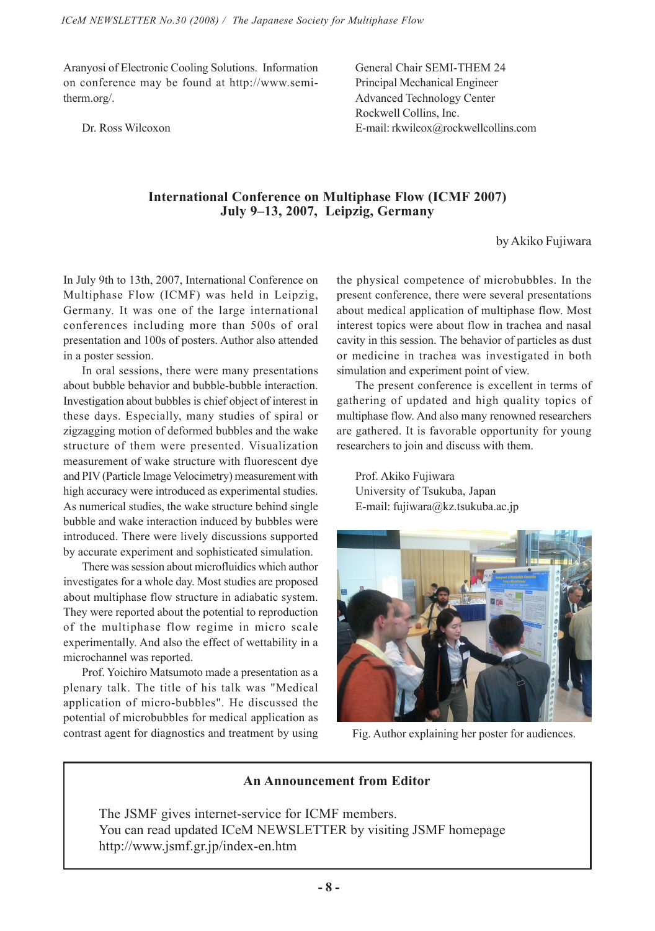Aranyosi of Electronic Cooling Solutions. Information on conference may be found at http://www.semitherm.org/.

Dr. Ross Wilcoxon

General Chair SEMI-THEM 24 Principal Mechanical Engineer Advanced Technology Center Rockwell Collins, Inc. E-mail: rkwilcox@rockwellcollins.com

# **International Conference on Multiphase Flow (ICMF 2007) July 9–13, 2007, Leipzig, Germany**

by Akiko Fujiwara

In July 9th to 13th, 2007, International Conference on Multiphase Flow (ICMF) was held in Leipzig, Germany. It was one of the large international conferences including more than 500s of oral presentation and 100s of posters. Author also attended in a poster session.

In oral sessions, there were many presentations about bubble behavior and bubble-bubble interaction. Investigation about bubbles is chief object of interest in these days. Especially, many studies of spiral or zigzagging motion of deformed bubbles and the wake structure of them were presented. Visualization measurement of wake structure with fluorescent dye and PIV (Particle Image Velocimetry) measurement with high accuracy were introduced as experimental studies. As numerical studies, the wake structure behind single bubble and wake interaction induced by bubbles were introduced. There were lively discussions supported by accurate experiment and sophisticated simulation.

There was session about microfluidics which author investigates for a whole day. Most studies are proposed about multiphase flow structure in adiabatic system. They were reported about the potential to reproduction of the multiphase flow regime in micro scale experimentally. And also the effect of wettability in a microchannel was reported.

Prof. Yoichiro Matsumoto made a presentation as a plenary talk. The title of his talk was "Medical application of micro-bubbles". He discussed the potential of microbubbles for medical application as contrast agent for diagnostics and treatment by using

the physical competence of microbubbles. In the present conference, there were several presentations about medical application of multiphase flow. Most interest topics were about flow in trachea and nasal cavity in this session. The behavior of particles as dust or medicine in trachea was investigated in both simulation and experiment point of view.

The present conference is excellent in terms of gathering of updated and high quality topics of multiphase flow. And also many renowned researchers are gathered. It is favorable opportunity for young researchers to join and discuss with them.

Prof. Akiko Fujiwara University of Tsukuba, Japan E-mail: fujiwara@kz.tsukuba.ac.jp



Fig. Author explaining her poster for audiences.

# **An Announcement from Editor**

The JSMF gives internet-service for ICMF members. You can read updated ICeM NEWSLETTER by visiting JSMF homepage http://www.jsmf.gr.jp/index-en.htm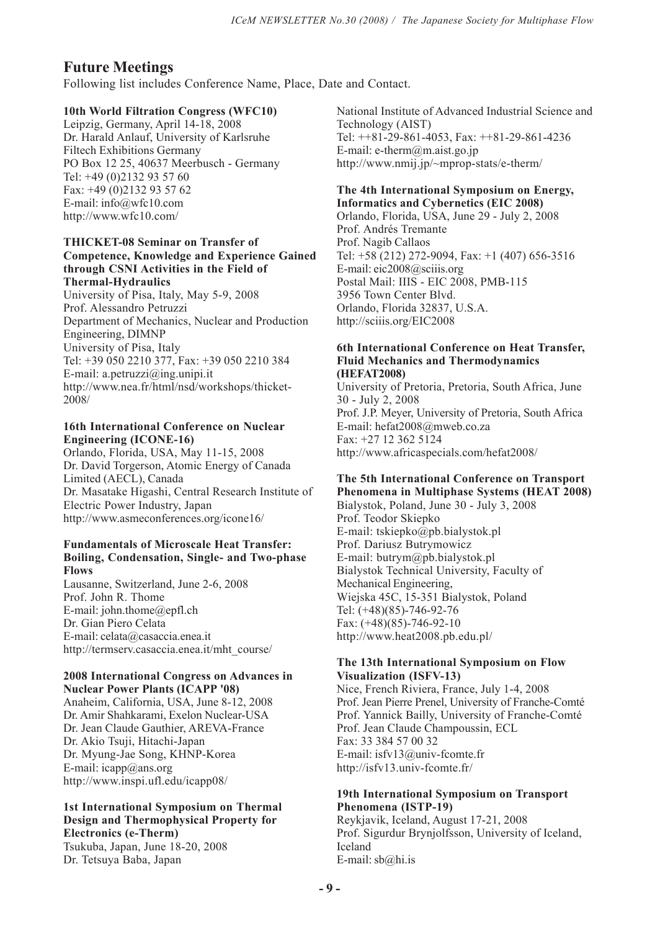# **Future Meetings**

Following list includes Conference Name, Place, Date and Contact.

# **10th World Filtration Congress (WFC10)**

Leipzig, Germany, April 14-18, 2008 Dr. Harald Anlauf, University of Karlsruhe Filtech Exhibitions Germany PO Box 12 25, 40637 Meerbusch - Germany Tel: +49 (0)2132 93 57 60 Fax: +49 (0)2132 93 57 62 E-mail: info@wfc10.com http://www.wfc10.com/

#### **THICKET-08 Seminar on Transfer of Competence, Knowledge and Experience Gained through CSNI Activities in the Field of Thermal-Hydraulics**

University of Pisa, Italy, May 5-9, 2008 Prof. Alessandro Petruzzi Department of Mechanics, Nuclear and Production Engineering, DIMNP University of Pisa, Italy Tel: +39 050 2210 377, Fax: +39 050 2210 384 E-mail: a.petruzzi@ing.unipi.it http://www.nea.fr/html/nsd/workshops/thicket-2008/

#### **16th International Conference on Nuclear Engineering (ICONE-16)**

Orlando, Florida, USA, May 11-15, 2008 Dr. David Torgerson, Atomic Energy of Canada Limited (AECL), Canada Dr. Masatake Higashi, Central Research Institute of Electric Power Industry, Japan http://www.asmeconferences.org/icone16/

#### **Fundamentals of Microscale Heat Transfer: Boiling, Condensation, Single- and Two-phase Flows**

Lausanne, Switzerland, June 2-6, 2008 Prof. John R. Thome E-mail: john.thome@epfl.ch Dr. Gian Piero Celata E-mail: celata@casaccia.enea.it http://termserv.casaccia.enea.it/mht\_course/

#### **2008 International Congress on Advances in Nuclear Power Plants (ICAPP '08)**

Anaheim, California, USA, June 8-12, 2008 Dr. Amir Shahkarami, Exelon Nuclear-USA Dr. Jean Claude Gauthier, AREVA-France Dr. Akio Tsuji, Hitachi-Japan Dr. Myung-Jae Song, KHNP-Korea E-mail: icapp@ans.org http://www.inspi.ufl.edu/icapp08/

# **1st International Symposium on Thermal Design and Thermophysical Property for Electronics (e-Therm)**

Tsukuba, Japan, June 18-20, 2008 Dr. Tetsuya Baba, Japan

National Institute of Advanced Industrial Science and Technology (AIST) Tel: ++81-29-861-4053, Fax: ++81-29-861-4236 E-mail: e-therm@m.aist.go.jp http://www.nmij.jp/~mprop-stats/e-therm/

#### **The 4th International Symposium on Energy, Informatics and Cybernetics (EIC 2008)**

Orlando, Florida, USA, June 29 - July 2, 2008 Prof. Andrés Tremante Prof. Nagib Callaos Tel: +58 (212) 272-9094, Fax: +1 (407) 656-3516 E-mail: eic2008@sciiis.org Postal Mail: IIIS - EIC 2008, PMB-115 3956 Town Center Blvd. Orlando, Florida 32837, U.S.A. http://sciiis.org/EIC2008

#### **6th International Conference on Heat Transfer, Fluid Mechanics and Thermodynamics (HEFAT2008)**

University of Pretoria, Pretoria, South Africa, June 30 - July 2, 2008 Prof. J.P. Meyer, University of Pretoria, South Africa E-mail: hefat2008@mweb.co.za Fax: +27 12 362 5124 http://www.africaspecials.com/hefat2008/

#### **The 5th International Conference on Transport Phenomena in Multiphase Systems (HEAT 2008)**

Bialystok, Poland, June 30 - July 3, 2008 Prof. Teodor Skiepko E-mail: tskiepko@pb.bialystok.pl Prof. Dariusz Butrymowicz E-mail: butrym@pb.bialystok.pl Bialystok Technical University, Faculty of Mechanical Engineering, Wiejska 45C, 15-351 Bialystok, Poland Tel: (+48)(85)-746-92-76 Fax: (+48)(85)-746-92-10 http://www.heat2008.pb.edu.pl/

# **The 13th International Symposium on Flow Visualization (ISFV-13)**

Nice, French Riviera, France, July 1-4, 2008 Prof. Jean Pierre Prenel, University of Franche-Comté Prof. Yannick Bailly, University of Franche-Comté Prof. Jean Claude Champoussin, ECL Fax: 33 384 57 00 32 E-mail: isfv13@univ-fcomte.fr http://isfv13.univ-fcomte.fr/

#### **19th International Symposium on Transport Phenomena (ISTP-19)**

Reykjavik, Iceland, August 17-21, 2008 Prof. Sigurdur Brynjolfsson, University of Iceland, Iceland E-mail: sb@hi.is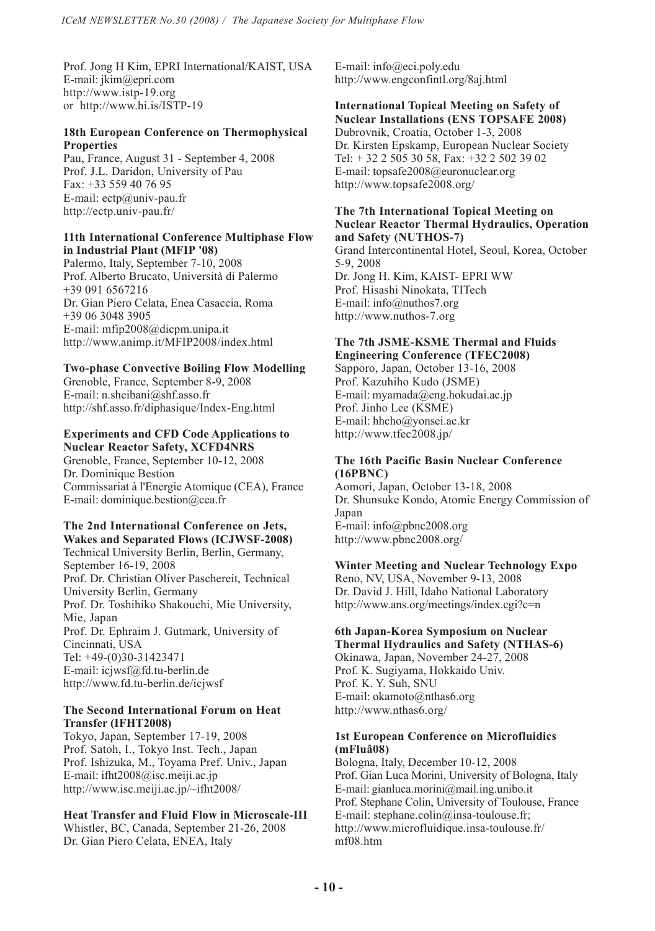Prof. Jong H Kim, EPRI International/KAIST, USA E-mail: jkim@epri.com http://www.istp-19.org or http://www.hi.is/ISTP-19

# **18th European Conference on Thermophysical Properties**

Pau, France, August 31 - September 4, 2008 Prof. J.L. Daridon, University of Pau Fax: +33 559 40 76 95 E-mail: ectp@univ-pau.fr http://ectp.univ-pau.fr/

### **11th International Conference Multiphase Flow in Industrial Plant (MFIP '08)**

Palermo, Italy, September 7-10, 2008 Prof. Alberto Brucato, Università di Palermo +39 091 6567216 Dr. Gian Piero Celata, Enea Casaccia, Roma +39 06 3048 3905 E-mail: mfip2008@dicpm.unipa.it http://www.animp.it/MFIP2008/index.html

# **Two-phase Convective Boiling Flow Modelling**

Grenoble, France, September 8-9, 2008 E-mail: n.sheibani@shf.asso.fr http://shf.asso.fr/diphasique/Index-Eng.html

#### **Experiments and CFD Code Applications to Nuclear Reactor Safety, XCFD4NRS**

Grenoble, France, September 10-12, 2008 Dr. Dominique Bestion Commissariat à l'Energie Atomique (CEA), France E-mail: dominique.bestion@cea.fr

#### **The 2nd International Conference on Jets, Wakes and Separated Flows (ICJWSF-2008)**

Technical University Berlin, Berlin, Germany, September 16-19, 2008 Prof. Dr. Christian Oliver Paschereit, Technical University Berlin, Germany Prof. Dr. Toshihiko Shakouchi, Mie University, Mie, Japan Prof. Dr. Ephraim J. Gutmark, University of Cincinnati, USA Tel: +49-(0)30-31423471 E-mail: icjwsf@fd.tu-berlin.de http://www.fd.tu-berlin.de/icjwsf

## **The Second International Forum on Heat Transfer (IFHT2008)**

Tokyo, Japan, September 17-19, 2008 Prof. Satoh, I., Tokyo Inst. Tech., Japan Prof. Ishizuka, M., Toyama Pref. Univ., Japan E-mail: ifht2008@isc.meiji.ac.jp http://www.isc.meiji.ac.jp/~ifht2008/

## **Heat Transfer and Fluid Flow in Microscale-III**

Whistler, BC, Canada, September 21-26, 2008 Dr. Gian Piero Celata, ENEA, Italy

E-mail: info@eci.poly.edu http://www.engconfintl.org/8aj.html

### **International Topical Meeting on Safety of Nuclear Installations (ENS TOPSAFE 2008)**

Dubrovnik, Croatia, October 1-3, 2008 Dr. Kirsten Epskamp, European Nuclear Society Tel: + 32 2 505 30 58, Fax: +32 2 502 39 02 E-mail: topsafe2008@euronuclear.org http://www.topsafe2008.org/

#### **The 7th International Topical Meeting on Nuclear Reactor Thermal Hydraulics, Operation and Safety (NUTHOS-7)**

Grand Intercontinental Hotel, Seoul, Korea, October 5-9, 2008 Dr. Jong H. Kim, KAIST- EPRI WW Prof. Hisashi Ninokata, TITech E-mail: info@nuthos7.org http://www.nuthos-7.org

# **The 7th JSME-KSME Thermal and Fluids Engineering Conference (TFEC2008)**

Sapporo, Japan, October 13-16, 2008 Prof. Kazuhiho Kudo (JSME) E-mail: myamada@eng.hokudai.ac.jp Prof. Jinho Lee (KSME) E-mail: hhcho@yonsei.ac.kr http://www.tfec2008.jp/

### **The 16th Pacific Basin Nuclear Conference (16PBNC)**

Aomori, Japan, October 13-18, 2008 Dr. Shunsuke Kondo, Atomic Energy Commission of Japan E-mail: info@pbnc2008.org http://www.pbnc2008.org/

# **Winter Meeting and Nuclear Technology Expo**

Reno, NV, USA, November 9-13, 2008 Dr. David J. Hill, Idaho National Laboratory http://www.ans.org/meetings/index.cgi?c=n

### **6th Japan-Korea Symposium on Nuclear Thermal Hydraulics and Safety (NTHAS-6)**

Okinawa, Japan, November 24-27, 2008 Prof. K. Sugiyama, Hokkaido Univ. Prof. K. Y. Suh, SNU E-mail: okamoto@nthas6.org http://www.nthas6.org/

#### **1st European Conference on Microfluidics (mFluâ08)**

Bologna, Italy, December 10-12, 2008 Prof. Gian Luca Morini, University of Bologna, Italy E-mail: gianluca.morini@mail.ing.unibo.it Prof. Stephane Colin, University of Toulouse, France E-mail: stephane.colin@insa-toulouse.fr; http://www.microfluidique.insa-toulouse.fr/ mf08.htm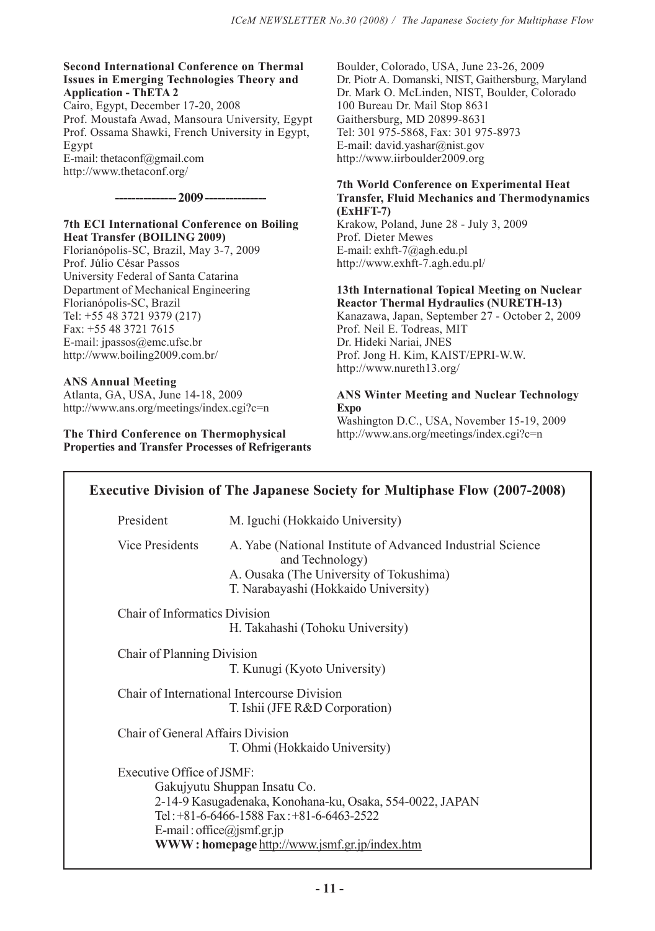#### **Second International Conference on Thermal Issues in Emerging Technologies Theory and Application - ThETA 2**

Cairo, Egypt, December 17-20, 2008 Prof. Moustafa Awad, Mansoura University, Egypt Prof. Ossama Shawki, French University in Egypt, Egypt E-mail: thetaconf@gmail.com

http://www.thetaconf.org/

### **--------------- 2009 ---------------**

### **7th ECI International Conference on Boiling Heat Transfer (BOILING 2009)**

Florianópolis-SC, Brazil, May 3-7, 2009 Prof. Júlio César Passos University Federal of Santa Catarina Department of Mechanical Engineering Florianópolis-SC, Brazil Tel: +55 48 3721 9379 (217) Fax: +55 48 3721 7615 E-mail: jpassos@emc.ufsc.br http://www.boiling2009.com.br/

# **ANS Annual Meeting**

Atlanta, GA, USA, June 14-18, 2009 http://www.ans.org/meetings/index.cgi?c=n

### **The Third Conference on Thermophysical Properties and Transfer Processes of Refrigerants**

Boulder, Colorado, USA, June 23-26, 2009 Dr. Piotr A. Domanski, NIST, Gaithersburg, Maryland Dr. Mark O. McLinden, NIST, Boulder, Colorado 100 Bureau Dr. Mail Stop 8631 Gaithersburg, MD 20899-8631 Tel: 301 975-5868, Fax: 301 975-8973 E-mail: david.yashar@nist.gov http://www.iirboulder2009.org

# **7th World Conference on Experimental Heat Transfer, Fluid Mechanics and Thermodynamics (ExHFT-7)**

Krakow, Poland, June 28 - July 3, 2009 Prof. Dieter Mewes E-mail: exhft-7@agh.edu.pl http://www.exhft-7.agh.edu.pl/

#### **13th International Topical Meeting on Nuclear Reactor Thermal Hydraulics (NURETH-13)**

Kanazawa, Japan, September 27 - October 2, 2009 Prof. Neil E. Todreas, MIT Dr. Hideki Nariai, JNES Prof. Jong H. Kim, KAIST/EPRI-W.W. http://www.nureth13.org/

# **ANS Winter Meeting and Nuclear Technology Expo**

Washington D.C., USA, November 15-19, 2009 http://www.ans.org/meetings/index.cgi?c=n

| <b>Executive Division of The Japanese Society for Multiphase Flow (2007-2008)</b>                                                                                                                                                                    |                                                                                                                                                                   |
|------------------------------------------------------------------------------------------------------------------------------------------------------------------------------------------------------------------------------------------------------|-------------------------------------------------------------------------------------------------------------------------------------------------------------------|
| President                                                                                                                                                                                                                                            | M. Iguchi (Hokkaido University)                                                                                                                                   |
| Vice Presidents                                                                                                                                                                                                                                      | A. Yabe (National Institute of Advanced Industrial Science)<br>and Technology)<br>A. Ousaka (The University of Tokushima)<br>T. Narabayashi (Hokkaido University) |
| <b>Chair of Informatics Division</b><br>H. Takahashi (Tohoku University)                                                                                                                                                                             |                                                                                                                                                                   |
| Chair of Planning Division<br>T. Kunugi (Kyoto University)                                                                                                                                                                                           |                                                                                                                                                                   |
| Chair of International Intercourse Division<br>T. Ishii (JFE R&D Corporation)                                                                                                                                                                        |                                                                                                                                                                   |
| Chair of General Affairs Division<br>T. Ohmi (Hokkaido University)                                                                                                                                                                                   |                                                                                                                                                                   |
| Executive Office of JSMF:<br>Gakujyutu Shuppan Insatu Co.<br>2-14-9 Kasugadenaka, Konohana-ku, Osaka, 554-0022, JAPAN<br>Tel: $+81-6-6466-1588$ Fax: $+81-6-6463-2522$<br>E-mail: office@jsmf.gr.jp<br>WWW: homepage http://www.jsmf.gr.jp/index.htm |                                                                                                                                                                   |